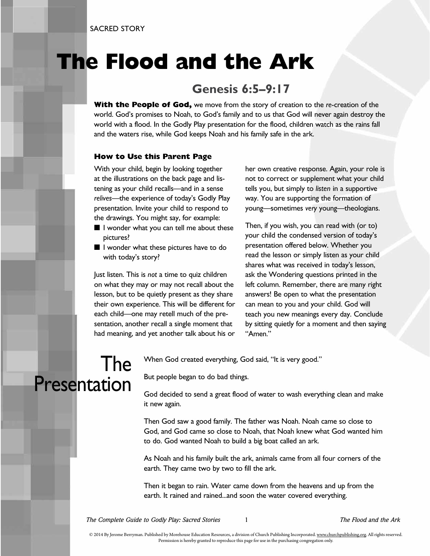## **The Flood and the Ark**

### **Genesis 6:5–9:17**

**With the People of God,** we move from the story of creation to the *re*-creation of the world. God's promises to Noah, to God's family and to us that God will never again destroy the world with a flood. In the Godly Play presentation for the flood, children watch as the rains fall and the waters rise, while God keeps Noah and his family safe in the ark.

#### **How to Use this Parent Page**

With your child, begin by looking together at the illustrations on the back page and listening as your child recalls—and in a sense *relives*—the experience of today's Godly Play presentation. Invite your child to respond to the drawings. You might say, for example:

- I wonder what you can tell me about these pictures?
- I wonder what these pictures have to do with today's story?

Just listen. This is *not* a time to quiz children on what they may or may not recall about the lesson, but to be quietly present as they share their own experience. This will be different for each child—one may retell much of the presentation, another recall a single moment that had meaning, and yet another talk about his or her own creative response. Again, your role is not to correct or supplement what your child tells you, but simply to *listen* in a supportive way. You are supporting the formation of young—sometimes *very* young—theologians.

Then, if you wish, you can read with (or to) your child the condensed version of today's presentation offered below. Whether you read the lesson or simply listen as your child shares what was received in today's lesson, ask the Wondering questions printed in the left column. Remember, there are many right answers! Be open to what the presentation can mean to you and your child. God will teach you new meanings every day. Conclude by sitting quietly for a moment and then saying "Amen."

## The Presentation

When God created everything, God said, "It is very good."

But people began to do bad things.

God decided to send a great flood of water to wash everything clean and make it new again.

Then God saw a good family. The father was Noah. Noah came so close to God, and God came so close to Noah, that Noah knew what God wanted him to do. God wanted Noah to build a big boat called an ark.

As Noah and his family built the ark, animals came from all four corners of the earth. They came two by two to fill the ark.

Then it began to rain. Water came down from the heavens and up from the earth. It rained and rained...and soon the water covered everything.

*The Complete Guide to Godly Play: Sacred Stories* 1 *The Flood and the Ark*